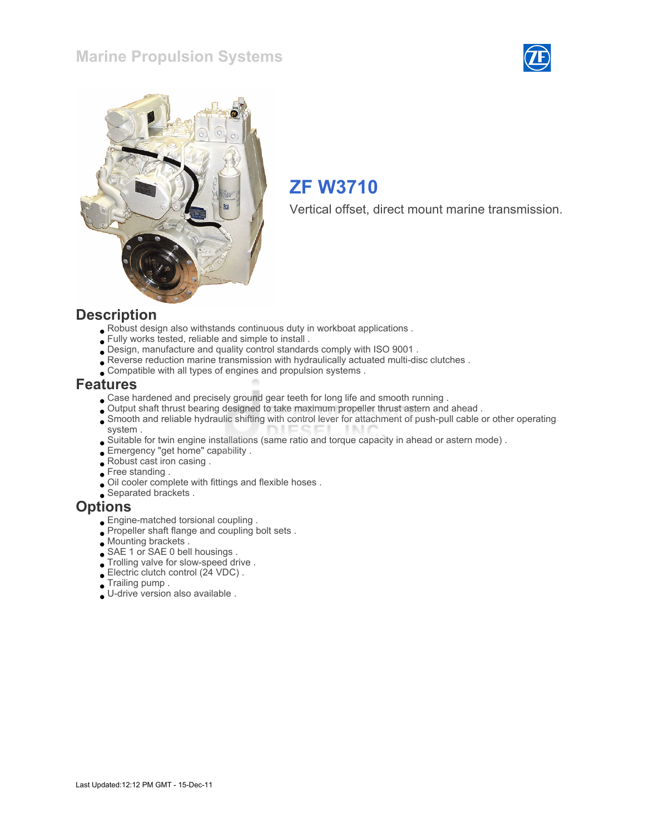### Marine Propulsion Systems





## ZF W3710

Vertical offset, direct mount marine transmission.

#### **Description**

- Robust design also withstands continuous duty in workboat applications .
- Fully works tested, reliable and simple to install .
- Design, manufacture and quality control standards comply with ISO 9001 .
- Reverse reduction marine transmission with hydraulically actuated multi-disc clutches .
- Compatible with all types of engines and propulsion systems .

#### Features

- Case hardened and precisely ground gear teeth for long life and smooth running .
- Output shaft thrust bearing designed to take maximum propeller thrust astern and ahead .
- Smooth and reliable hydraulic shifting with control lever for attachment of push-pull cable or other operating system .
- Suitable for twin engine installations (same ratio and torque capacity in ahead or astern mode) .
- Emergency "get home" capability .
- Robust cast iron casing .
- Free standing .
- Oil cooler complete with fittings and flexible hoses .
- Separated brackets .

#### **Options**

- Engine-matched torsional coupling .
- Propeller shaft flange and coupling bolt sets.
- Mounting brackets .
- SAE 1 or SAE 0 bell housings .
- Trolling valve for slow-speed drive .
- Electric clutch control (24 VDC) .
- Trailing pump .
- U-drive version also available .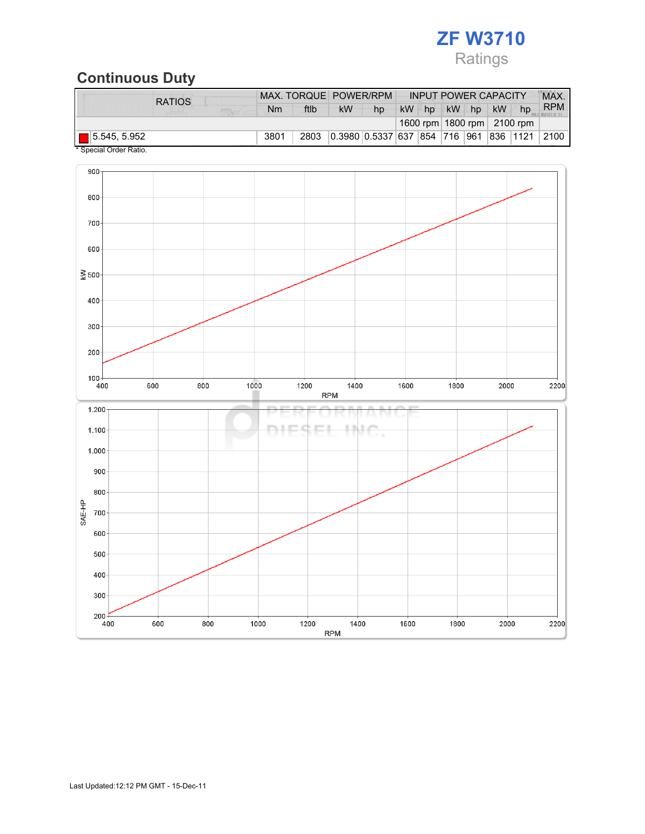# ZF W3710 Ratings

# Continuous Duty

| <b>RATIOS</b>         |      | MAX. TORQUE POWER/RPM |           |                               |           |    |    | <b>INPUT POWER CAPACITY</b> |           |                                |            |
|-----------------------|------|-----------------------|-----------|-------------------------------|-----------|----|----|-----------------------------|-----------|--------------------------------|------------|
|                       | Nm   | ftlb                  | <b>kW</b> | hp                            | <b>kW</b> | hp | kW | hp                          | <b>kW</b> | hp                             | <b>RPM</b> |
|                       |      |                       |           |                               |           |    |    |                             |           | 1600 rpm   1800 rpm   2100 rpm |            |
| $\Box$ 5.545, 5.952   | 3801 | 2803                  |           | 0.3980 0.5337 637 854 716 961 |           |    |    |                             |           | 836 1121                       | 2100       |
| * Snacial Order Patio |      |                       |           |                               |           |    |    |                             |           |                                |            |

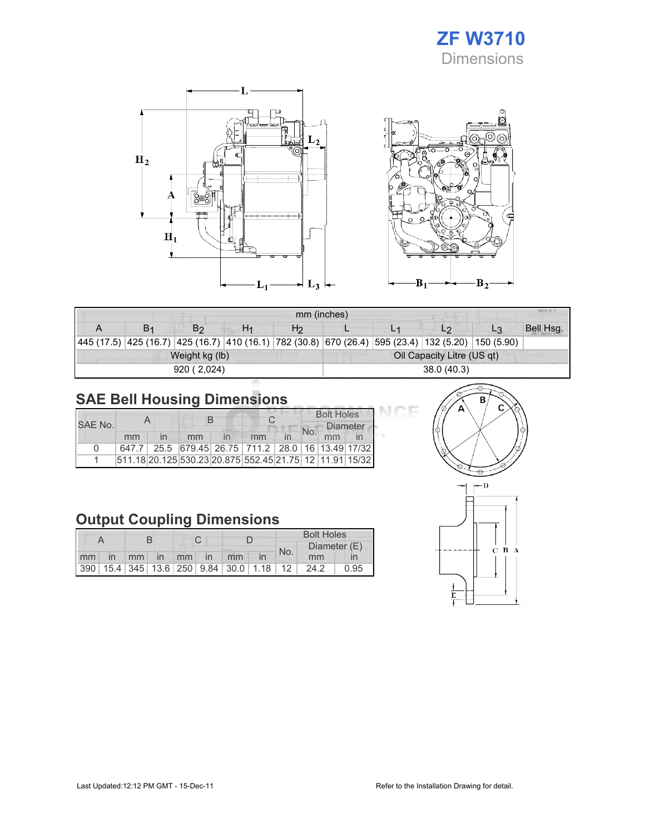## ZF W3710 Dimensions





| <b>MILLA</b><br>mm (inches) |  |                |                |                |                            |  |                                                                                                            |                |           |  |
|-----------------------------|--|----------------|----------------|----------------|----------------------------|--|------------------------------------------------------------------------------------------------------------|----------------|-----------|--|
|                             |  | B <sub>2</sub> | H <sub>1</sub> | H <sub>2</sub> |                            |  | L <sub>2</sub>                                                                                             | L <sub>3</sub> | Bell Hsg. |  |
|                             |  |                |                |                |                            |  | 445 (17.5)  425 (16.7)  425 (16.7)  410 (16.1)  782 (30.8)  670 (26.4)  595 (23.4)  132 (5.20)  150 (5.90) |                |           |  |
|                             |  | Weight kg (lb) |                |                | Oil Capacity Litre (US qt) |  |                                                                                                            |                |           |  |
|                             |  | 920 (2.024)    |                |                | 38.0(40.3)                 |  |                                                                                                            |                |           |  |

## SAE Bell Housing Dimensions

| SAF No. |    |  |                                                         |    |  |    | <b>Bolt Holes</b> |                       |  |
|---------|----|--|---------------------------------------------------------|----|--|----|-------------------|-----------------------|--|
|         | mm |  |                                                         | mm |  | mm |                   | <b>Diameter</b><br>mm |  |
| n       |    |  | 647.7 25.5 679.45 26.75 711.2 28.0 16 13.49 17/32       |    |  |    |                   |                       |  |
|         |    |  | 511.18 20.125 530.23 20.875 552.45 21.75 12 11.91 15/32 |    |  |    |                   |                       |  |

## Output Coupling Dimensions

|  |  |  |  |                   |                                         | <b>Bolt Holes</b> |  |              |      |  |
|--|--|--|--|-------------------|-----------------------------------------|-------------------|--|--------------|------|--|
|  |  |  |  |                   |                                         | No.               |  | Diameter (E) |      |  |
|  |  |  |  | mm in mm in mm in | mm                                      |                   |  | mm           |      |  |
|  |  |  |  |                   | 390 15.4 345 13.6 250 9.84 30.0 1.18 12 |                   |  | 24.2         | 0.95 |  |



DЕ